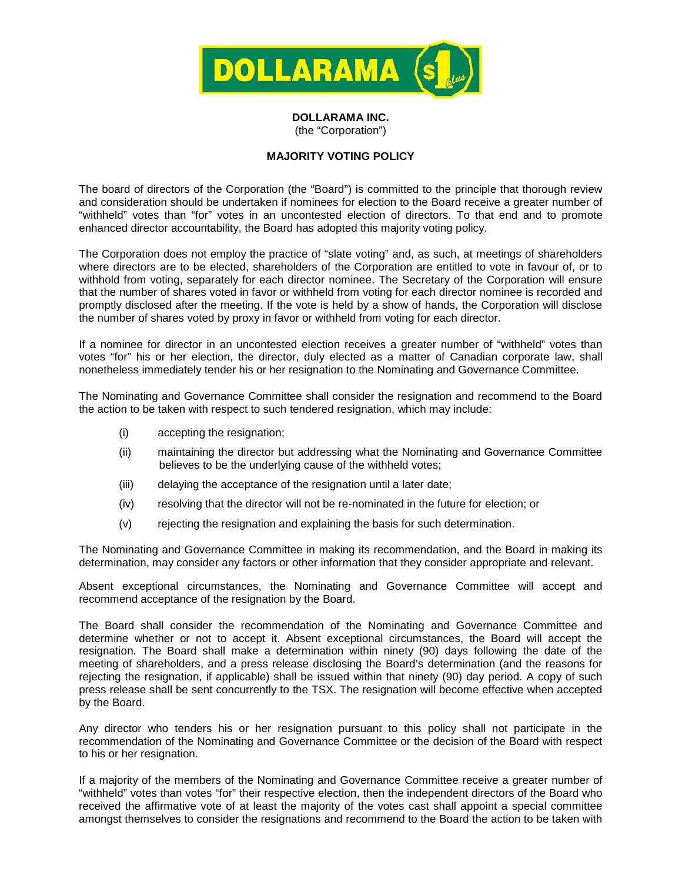

**DOLLARAMA INC.** (the "Corporation")

## **MAJORITY VOTING POLICY**

The board of directors of the Corporation (the "Board") is committed to the principle that thorough review and consideration should be undertaken if nominees for election to the Board receive a greater number of "withheld" votes than "for" votes in an uncontested election of directors. To that end and to promote enhanced director accountability, the Board has adopted this majority voting policy.

The Corporation does not employ the practice of "slate voting" and, as such, at meetings of shareholders where directors are to be elected, shareholders of the Corporation are entitled to vote in favour of, or to withhold from voting, separately for each director nominee. The Secretary of the Corporation will ensure that the number of shares voted in favor or withheld from voting for each director nominee is recorded and promptly disclosed after the meeting. If the vote is held by a show of hands, the Corporation will disclose the number of shares voted by proxy in favor or withheld from voting for each director.

If a nominee for director in an uncontested election receives a greater number of "withheld" votes than votes "for" his or her election, the director, duly elected as a matter of Canadian corporate law, shall nonetheless immediately tender his or her resignation to the Nominating and Governance Committee.

The Nominating and Governance Committee shall consider the resignation and recommend to the Board the action to be taken with respect to such tendered resignation, which may include:

- (i) accepting the resignation;
- (ii) maintaining the director but addressing what the Nominating and Governance Committee believes to be the underlying cause of the withheld votes;
- (iii) delaying the acceptance of the resignation until a later date;
- (iv) resolving that the director will not be re-nominated in the future for election; or
- (v) rejecting the resignation and explaining the basis for such determination.

The Nominating and Governance Committee in making its recommendation, and the Board in making its determination, may consider any factors or other information that they consider appropriate and relevant.

Absent exceptional circumstances, the Nominating and Governance Committee will accept and recommend acceptance of the resignation by the Board.

The Board shall consider the recommendation of the Nominating and Governance Committee and determine whether or not to accept it. Absent exceptional circumstances, the Board will accept the resignation. The Board shall make a determination within ninety (90) days following the date of the meeting of shareholders, and a press release disclosing the Board's determination (and the reasons for rejecting the resignation, if applicable) shall be issued within that ninety (90) day period. A copy of such press release shall be sent concurrently to the TSX. The resignation will become effective when accepted by the Board.

Any director who tenders his or her resignation pursuant to this policy shall not participate in the recommendation of the Nominating and Governance Committee or the decision of the Board with respect to his or her resignation.

If a majority of the members of the Nominating and Governance Committee receive a greater number of "withheld" votes than votes "for" their respective election, then the independent directors of the Board who received the affirmative vote of at least the majority of the votes cast shall appoint a special committee amongst themselves to consider the resignations and recommend to the Board the action to be taken with